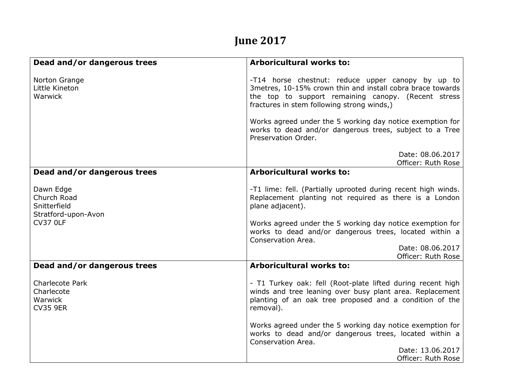## **June 2017**

| Dead and/or dangerous trees                                     | <b>Arboricultural works to:</b>                                                                                                                                                                                      |
|-----------------------------------------------------------------|----------------------------------------------------------------------------------------------------------------------------------------------------------------------------------------------------------------------|
| Norton Grange<br>Little Kineton<br>Warwick                      | -T14 horse chestnut: reduce upper canopy by up to<br>3metres, 10-15% crown thin and install cobra brace towards<br>the top to support remaining canopy. (Recent stress<br>fractures in stem following strong winds,) |
|                                                                 | Works agreed under the 5 working day notice exemption for<br>works to dead and/or dangerous trees, subject to a Tree<br>Preservation Order.                                                                          |
|                                                                 | Date: 08.06.2017<br>Officer: Ruth Rose                                                                                                                                                                               |
| Dead and/or dangerous trees                                     | <b>Arboricultural works to:</b>                                                                                                                                                                                      |
| Dawn Edge<br>Church Road<br>Snitterfield<br>Stratford-upon-Avon | -T1 lime: fell. (Partially uprooted during recent high winds.<br>Replacement planting not required as there is a London<br>plane adjacent).                                                                          |
| <b>CV37 OLF</b>                                                 | Works agreed under the 5 working day notice exemption for<br>works to dead and/or dangerous trees, located within a<br>Conservation Area.                                                                            |
|                                                                 | Date: 08.06.2017<br>Officer: Ruth Rose                                                                                                                                                                               |
| Dead and/or dangerous trees                                     | <b>Arboricultural works to:</b>                                                                                                                                                                                      |
| Charlecote Park<br>Charlecote<br>Warwick<br><b>CV35 9ER</b>     | - T1 Turkey oak: fell (Root-plate lifted during recent high<br>winds and tree leaning over busy plant area. Replacement<br>planting of an oak tree proposed and a condition of the<br>removal).                      |
|                                                                 | Works agreed under the 5 working day notice exemption for<br>works to dead and/or dangerous trees, located within a<br>Conservation Area.                                                                            |
|                                                                 | Date: 13.06.2017<br>Officer: Ruth Rose                                                                                                                                                                               |